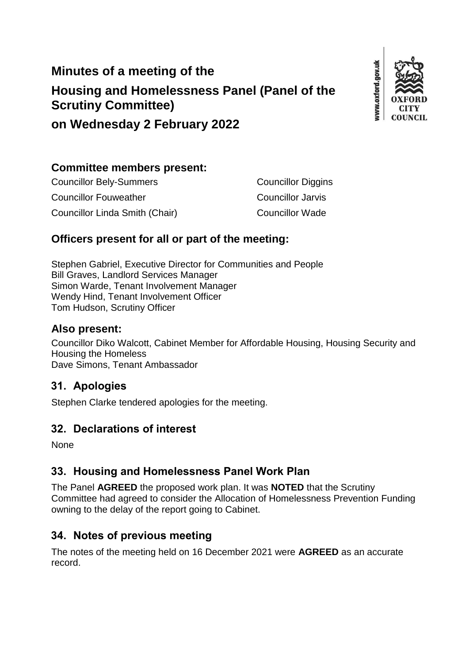# **Minutes of a meeting of the Housing and Homelessness Panel (Panel of the Scrutiny Committee)**



**on Wednesday 2 February 2022**

### **Committee members present:**

| <b>Councillor Bely-Summers</b> | <b>Councillor Diggins</b> |
|--------------------------------|---------------------------|
| <b>Councillor Fouweather</b>   | Councillor Jarvis         |
| Councillor Linda Smith (Chair) | <b>Councillor Wade</b>    |

### **Officers present for all or part of the meeting:**

Stephen Gabriel, Executive Director for Communities and People Bill Graves, Landlord Services Manager Simon Warde, Tenant Involvement Manager Wendy Hind, Tenant Involvement Officer Tom Hudson, Scrutiny Officer

### **Also present:**

Councillor Diko Walcott, Cabinet Member for Affordable Housing, Housing Security and Housing the Homeless Dave Simons, Tenant Ambassador

### **31. Apologies**

Stephen Clarke tendered apologies for the meeting.

### **32. Declarations of interest**

None

### **33. Housing and Homelessness Panel Work Plan**

The Panel **AGREED** the proposed work plan. It was **NOTED** that the Scrutiny Committee had agreed to consider the Allocation of Homelessness Prevention Funding owning to the delay of the report going to Cabinet.

## **34. Notes of previous meeting**

The notes of the meeting held on 16 December 2021 were **AGREED** as an accurate record.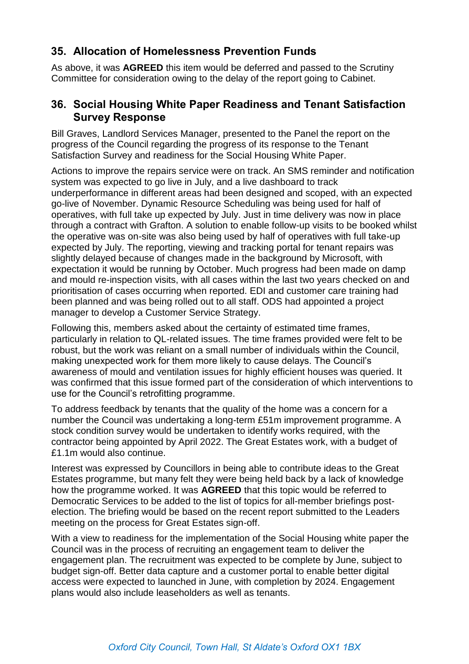### **35. Allocation of Homelessness Prevention Funds**

As above, it was **AGREED** this item would be deferred and passed to the Scrutiny Committee for consideration owing to the delay of the report going to Cabinet.

### **36. Social Housing White Paper Readiness and Tenant Satisfaction Survey Response**

Bill Graves, Landlord Services Manager, presented to the Panel the report on the progress of the Council regarding the progress of its response to the Tenant Satisfaction Survey and readiness for the Social Housing White Paper.

Actions to improve the repairs service were on track. An SMS reminder and notification system was expected to go live in July, and a live dashboard to track underperformance in different areas had been designed and scoped, with an expected go-live of November. Dynamic Resource Scheduling was being used for half of operatives, with full take up expected by July. Just in time delivery was now in place through a contract with Grafton. A solution to enable follow-up visits to be booked whilst the operative was on-site was also being used by half of operatives with full take-up expected by July. The reporting, viewing and tracking portal for tenant repairs was slightly delayed because of changes made in the background by Microsoft, with expectation it would be running by October. Much progress had been made on damp and mould re-inspection visits, with all cases within the last two years checked on and prioritisation of cases occurring when reported. EDI and customer care training had been planned and was being rolled out to all staff. ODS had appointed a project manager to develop a Customer Service Strategy.

Following this, members asked about the certainty of estimated time frames, particularly in relation to QL-related issues. The time frames provided were felt to be robust, but the work was reliant on a small number of individuals within the Council, making unexpected work for them more likely to cause delays. The Council's awareness of mould and ventilation issues for highly efficient houses was queried. It was confirmed that this issue formed part of the consideration of which interventions to use for the Council's retrofitting programme.

To address feedback by tenants that the quality of the home was a concern for a number the Council was undertaking a long-term £51m improvement programme. A stock condition survey would be undertaken to identify works required, with the contractor being appointed by April 2022. The Great Estates work, with a budget of £1.1m would also continue.

Interest was expressed by Councillors in being able to contribute ideas to the Great Estates programme, but many felt they were being held back by a lack of knowledge how the programme worked. It was **AGREED** that this topic would be referred to Democratic Services to be added to the list of topics for all-member briefings postelection. The briefing would be based on the recent report submitted to the Leaders meeting on the process for Great Estates sign-off.

With a view to readiness for the implementation of the Social Housing white paper the Council was in the process of recruiting an engagement team to deliver the engagement plan. The recruitment was expected to be complete by June, subject to budget sign-off. Better data capture and a customer portal to enable better digital access were expected to launched in June, with completion by 2024. Engagement plans would also include leaseholders as well as tenants.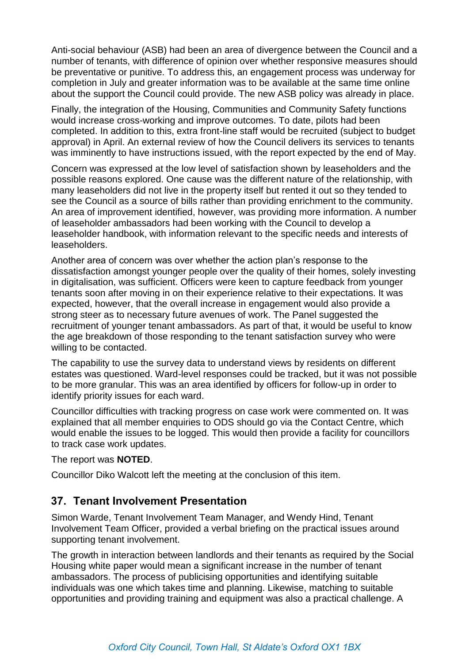Anti-social behaviour (ASB) had been an area of divergence between the Council and a number of tenants, with difference of opinion over whether responsive measures should be preventative or punitive. To address this, an engagement process was underway for completion in July and greater information was to be available at the same time online about the support the Council could provide. The new ASB policy was already in place.

Finally, the integration of the Housing, Communities and Community Safety functions would increase cross-working and improve outcomes. To date, pilots had been completed. In addition to this, extra front-line staff would be recruited (subject to budget approval) in April. An external review of how the Council delivers its services to tenants was imminently to have instructions issued, with the report expected by the end of May.

Concern was expressed at the low level of satisfaction shown by leaseholders and the possible reasons explored. One cause was the different nature of the relationship, with many leaseholders did not live in the property itself but rented it out so they tended to see the Council as a source of bills rather than providing enrichment to the community. An area of improvement identified, however, was providing more information. A number of leaseholder ambassadors had been working with the Council to develop a leaseholder handbook, with information relevant to the specific needs and interests of leaseholders.

Another area of concern was over whether the action plan's response to the dissatisfaction amongst younger people over the quality of their homes, solely investing in digitalisation, was sufficient. Officers were keen to capture feedback from younger tenants soon after moving in on their experience relative to their expectations. It was expected, however, that the overall increase in engagement would also provide a strong steer as to necessary future avenues of work. The Panel suggested the recruitment of younger tenant ambassadors. As part of that, it would be useful to know the age breakdown of those responding to the tenant satisfaction survey who were willing to be contacted.

The capability to use the survey data to understand views by residents on different estates was questioned. Ward-level responses could be tracked, but it was not possible to be more granular. This was an area identified by officers for follow-up in order to identify priority issues for each ward.

Councillor difficulties with tracking progress on case work were commented on. It was explained that all member enquiries to ODS should go via the Contact Centre, which would enable the issues to be logged. This would then provide a facility for councillors to track case work updates.

The report was **NOTED**.

Councillor Diko Walcott left the meeting at the conclusion of this item.

### **37. Tenant Involvement Presentation**

Simon Warde, Tenant Involvement Team Manager, and Wendy Hind, Tenant Involvement Team Officer, provided a verbal briefing on the practical issues around supporting tenant involvement.

The growth in interaction between landlords and their tenants as required by the Social Housing white paper would mean a significant increase in the number of tenant ambassadors. The process of publicising opportunities and identifying suitable individuals was one which takes time and planning. Likewise, matching to suitable opportunities and providing training and equipment was also a practical challenge. A